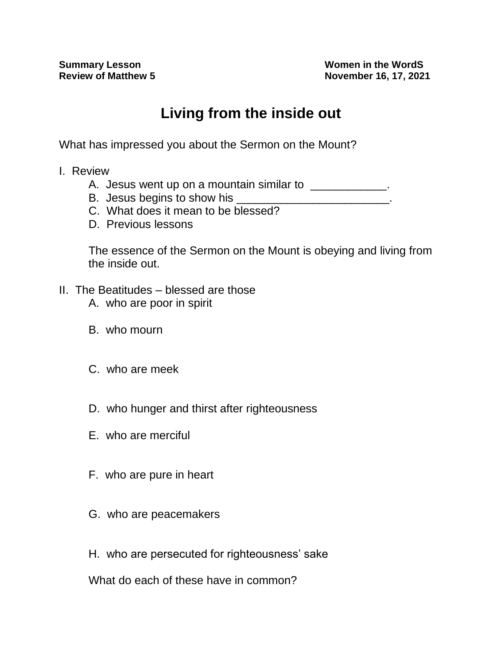**Summary Lesson**<br> **Review of Matthew 5**<br> **Review of Matthew 5**<br> **Women in the WordS Review of Matthew 5 November 16, 17, 2021**

## **Living from the inside out**

What has impressed you about the Sermon on the Mount?

- I. Review
	- A. Jesus went up on a mountain similar to \_\_\_\_\_\_\_\_\_\_\_\_.
	- B. Jesus begins to show his
	- C. What does it mean to be blessed?
	- D. Previous lessons

The essence of the Sermon on the Mount is obeying and living from the inside out.

- II. The Beatitudes blessed are those
	- A. who are poor in spirit
	- B. who mourn
	- C. who are meek
	- D. who hunger and thirst after righteousness
	- E. who are merciful
	- F. who are pure in heart
	- G. who are peacemakers
	- H. who are persecuted for righteousness' sake

What do each of these have in common?